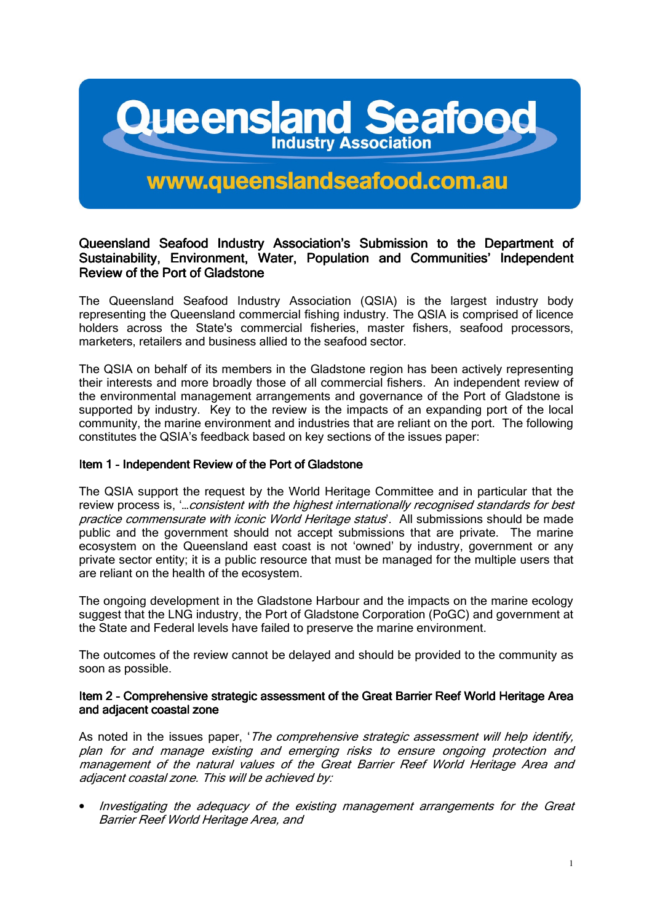# **Queensland Seafoor Industry Association**

# www.queenslandseafood.com.au

# Queensland Seafood Industry Association's Submission to the Department of Sustainability, Environment, Water, Population and Communities' Independent Review of the Port of Gladstone

The Queensland Seafood Industry Association (QSIA) is the largest industry body representing the Queensland commercial fishing industry. The QSIA is comprised of licence holders across the State's commercial fisheries, master fishers, seafood processors, marketers, retailers and business allied to the seafood sector.

The QSIA on behalf of its members in the Gladstone region has been actively representing their interests and more broadly those of all commercial fishers. An independent review of the environmental management arrangements and governance of the Port of Gladstone is supported by industry. Key to the review is the impacts of an expanding port of the local community, the marine environment and industries that are reliant on the port. The following constitutes the QSIA's feedback based on key sections of the issues paper:

#### Item 1 - Independent Review of the Port of Gladstone

The QSIA support the request by the World Heritage Committee and in particular that the review process is, '…consistent with the highest internationally recognised standards for best practice commensurate with iconic World Heritage status'. All submissions should be made public and the government should not accept submissions that are private. The marine ecosystem on the Queensland east coast is not 'owned' by industry, government or any private sector entity; it is a public resource that must be managed for the multiple users that are reliant on the health of the ecosystem.

The ongoing development in the Gladstone Harbour and the impacts on the marine ecology suggest that the LNG industry, the Port of Gladstone Corporation (PoGC) and government at the State and Federal levels have failed to preserve the marine environment.

The outcomes of the review cannot be delayed and should be provided to the community as soon as possible.

#### Item 2 - Comprehensive strategic assessment of the Great Barrier Reef World Heritage Area and adjacent coastal zone

As noted in the issues paper, '*The comprehensive strategic assessment will help identify*, plan for and manage existing and emerging risks to ensure ongoing protection and management of the natural values of the Great Barrier Reef World Heritage Area and adjacent coastal zone. This will be achieved by:

• Investigating the adequacy of the existing management arrangements for the Great Barrier Reef World Heritage Area, and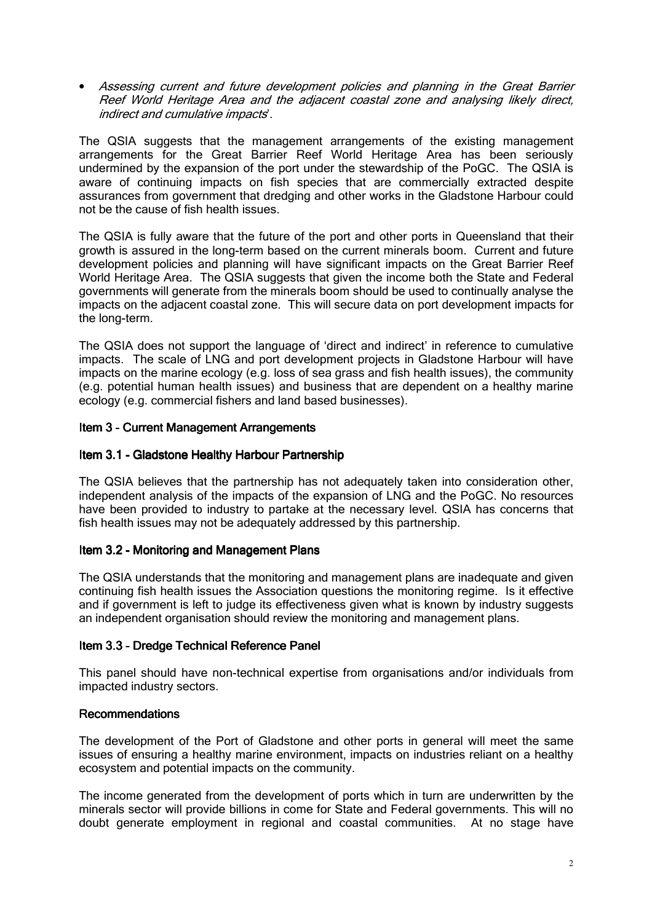• Assessing current and future development policies and planning in the Great Barrier Reef World Heritage Area and the adjacent coastal zone and analysing likely direct, indirect and cumulative impacts'.

The QSIA suggests that the management arrangements of the existing management arrangements for the Great Barrier Reef World Heritage Area has been seriously undermined by the expansion of the port under the stewardship of the PoGC. The QSIA is aware of continuing impacts on fish species that are commercially extracted despite assurances from government that dredging and other works in the Gladstone Harbour could not be the cause of fish health issues.

The QSIA is fully aware that the future of the port and other ports in Queensland that their growth is assured in the long-term based on the current minerals boom. Current and future development policies and planning will have significant impacts on the Great Barrier Reef World Heritage Area. The QSIA suggests that given the income both the State and Federal governments will generate from the minerals boom should be used to continually analyse the impacts on the adjacent coastal zone. This will secure data on port development impacts for the long-term.

The QSIA does not support the language of 'direct and indirect' in reference to cumulative impacts. The scale of LNG and port development projects in Gladstone Harbour will have impacts on the marine ecology (e.g. loss of sea grass and fish health issues), the community (e.g. potential human health issues) and business that are dependent on a healthy marine ecology (e.g. commercial fishers and land based businesses).

# Item 3 - Current Management Arrangements

#### Item 3.1 - Gladstone Healthy Harbour Partnership

The QSIA believes that the partnership has not adequately taken into consideration other, independent analysis of the impacts of the expansion of LNG and the PoGC. No resources have been provided to industry to partake at the necessary level. QSIA has concerns that fish health issues may not be adequately addressed by this partnership.

# Item 3.2 - Monitoring and Management Plans

The QSIA understands that the monitoring and management plans are inadequate and given continuing fish health issues the Association questions the monitoring regime. Is it effective and if government is left to judge its effectiveness given what is known by industry suggests an independent organisation should review the monitoring and management plans.

# Item 3.3 - Dredge Technical Reference Panel

This panel should have non-technical expertise from organisations and/or individuals from impacted industry sectors.

# Recommendations

The development of the Port of Gladstone and other ports in general will meet the same issues of ensuring a healthy marine environment, impacts on industries reliant on a healthy ecosystem and potential impacts on the community.

The income generated from the development of ports which in turn are underwritten by the minerals sector will provide billions in come for State and Federal governments. This will no doubt generate employment in regional and coastal communities. At no stage have